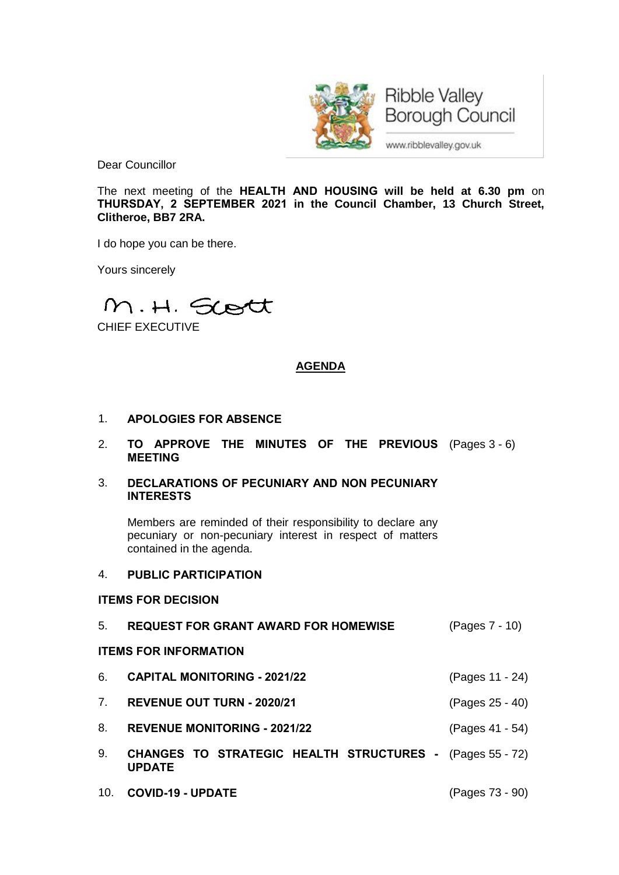

**Ribble Valley Borough Council** 

www.ribblevalley.gov.uk

Dear Councillor

The next meeting of the **HEALTH AND HOUSING will be held at 6.30 pm** on **THURSDAY, 2 SEPTEMBER 2021 in the Council Chamber, 13 Church Street, Clitheroe, BB7 2RA.**

I do hope you can be there.

Yours sincerely

M.H. Scott

CHIEF EXECUTIVE

# **AGENDA**

- 1. **APOLOGIES FOR ABSENCE**
- 2. **TO APPROVE THE MINUTES OF THE PREVIOUS** (Pages 3 6) **MEETING**
- 3. **DECLARATIONS OF PECUNIARY AND NON PECUNIARY INTERESTS**

Members are reminded of their responsibility to declare any pecuniary or non-pecuniary interest in respect of matters contained in the agenda.

## 4. **PUBLIC PARTICIPATION**

## **ITEMS FOR DECISION**

5. **REQUEST FOR GRANT AWARD FOR HOMEWISE** (Pages 7 - 10)

## **ITEMS FOR INFORMATION**

- 6. **CAPITAL MONITORING - 2021/22** (Pages 11 24)
- 7. **REVENUE OUT TURN - 2020/21** (Pages 25 40)
- 8. **REVENUE MONITORING - 2021/22** (Pages 41 54)
- 9. **CHANGES TO STRATEGIC HEALTH STRUCTURES -** (Pages 55 72) **UPDATE**
- 10. **COVID-19 - UPDATE** (Pages 73 90)